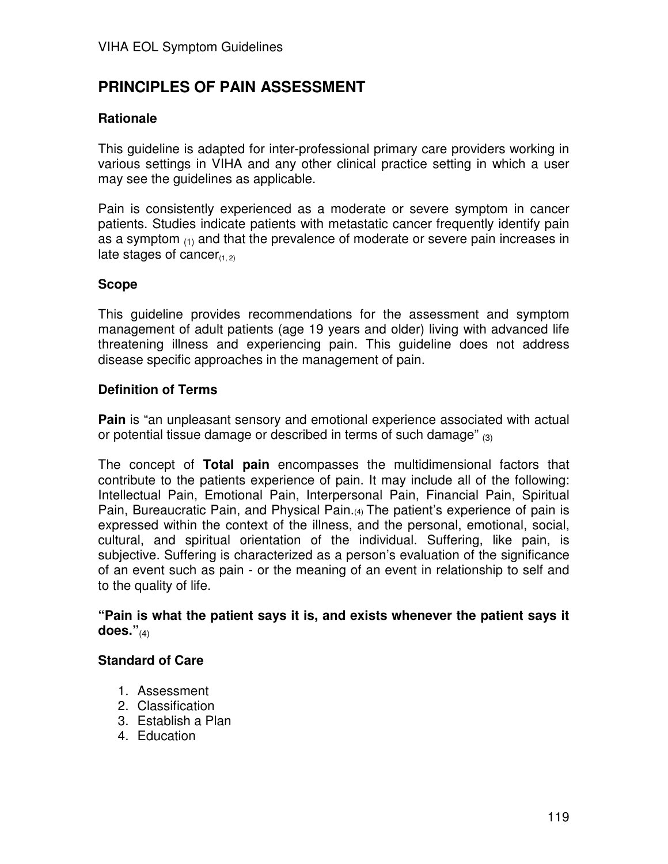# **PRINCIPLES OF PAIN ASSESSMENT**

### **Rationale**

This guideline is adapted for inter-professional primary care providers working in various settings in VIHA and any other clinical practice setting in which a user may see the guidelines as applicable.

Pain is consistently experienced as a moderate or severe symptom in cancer patients. Studies indicate patients with metastatic cancer frequently identify pain as a symptom  $_{(1)}$  and that the prevalence of moderate or severe pain increases in late stages of cancer $_{(1, 2)}$ 

#### **Scope**

This guideline provides recommendations for the assessment and symptom management of adult patients (age 19 years and older) living with advanced life threatening illness and experiencing pain. This guideline does not address disease specific approaches in the management of pain.

#### **Definition of Terms**

**Pain** is "an unpleasant sensory and emotional experience associated with actual or potential tissue damage or described in terms of such damage"  $_{(3)}$ 

The concept of **Total pain** encompasses the multidimensional factors that contribute to the patients experience of pain. It may include all of the following: Intellectual Pain, Emotional Pain, Interpersonal Pain, Financial Pain, Spiritual Pain, Bureaucratic Pain, and Physical Pain.(4) The patient's experience of pain is expressed within the context of the illness, and the personal, emotional, social, cultural, and spiritual orientation of the individual. Suffering, like pain, is subjective. Suffering is characterized as a person's evaluation of the significance of an event such as pain - or the meaning of an event in relationship to self and to the quality of life.

#### **"Pain is what the patient says it is, and exists whenever the patient says it does."**(4)

#### **Standard of Care**

- 1. Assessment
- 2. Classification
- 3. Establish a Plan
- 4. Education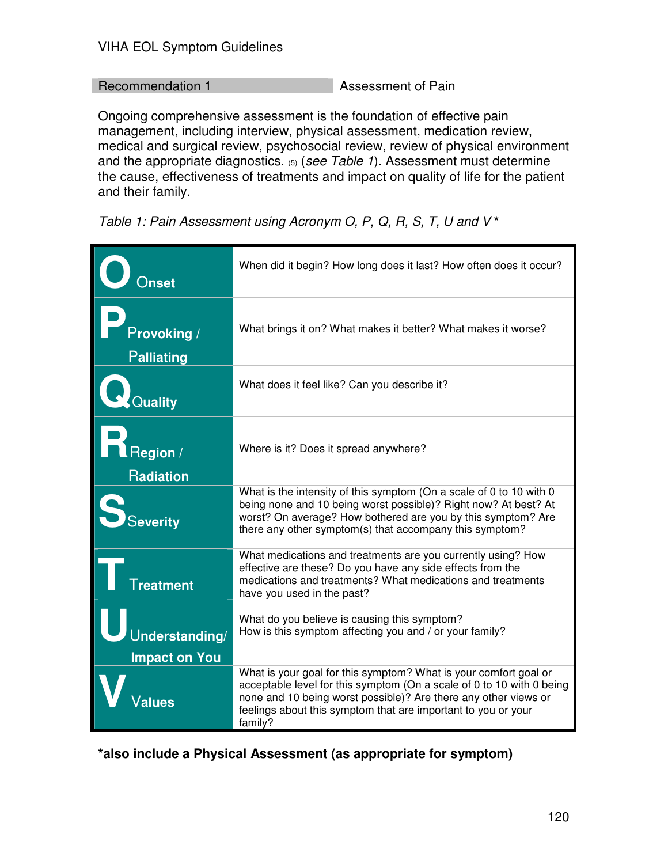### Recommendation 1 Assessment of Pain

Ongoing comprehensive assessment is the foundation of effective pain management, including interview, physical assessment, medication review, medical and surgical review, psychosocial review, review of physical environment and the appropriate diagnostics.  $(5)$  (see Table 1). Assessment must determine the cause, effectiveness of treatments and impact on quality of life for the patient and their family.

Table 1: Pain Assessment using Acronym O, P, Q, R, S, T, U and V **\*** 

|                                        | When did it begin? How long does it last? How often does it occur?                                                                                                                                                                                                                       |
|----------------------------------------|------------------------------------------------------------------------------------------------------------------------------------------------------------------------------------------------------------------------------------------------------------------------------------------|
| Provoking /<br><b>Palliating</b>       | What brings it on? What makes it better? What makes it worse?                                                                                                                                                                                                                            |
| Quality                                | What does it feel like? Can you describe it?                                                                                                                                                                                                                                             |
| Region /<br><b>Radiation</b>           | Where is it? Does it spread anywhere?                                                                                                                                                                                                                                                    |
| <b>Severity</b>                        | What is the intensity of this symptom (On a scale of 0 to 10 with 0<br>being none and 10 being worst possible)? Right now? At best? At<br>worst? On average? How bothered are you by this symptom? Are<br>there any other symptom(s) that accompany this symptom?                        |
| $\mathsf{T}$ reatment                  | What medications and treatments are you currently using? How<br>effective are these? Do you have any side effects from the<br>medications and treatments? What medications and treatments<br>have you used in the past?                                                                  |
| Understanding/<br><b>Impact on You</b> | What do you believe is causing this symptom?<br>How is this symptom affecting you and / or your family?                                                                                                                                                                                  |
|                                        | What is your goal for this symptom? What is your comfort goal or<br>acceptable level for this symptom (On a scale of 0 to 10 with 0 being<br>none and 10 being worst possible)? Are there any other views or<br>feelings about this symptom that are important to you or your<br>family? |

**\*also include a Physical Assessment (as appropriate for symptom)**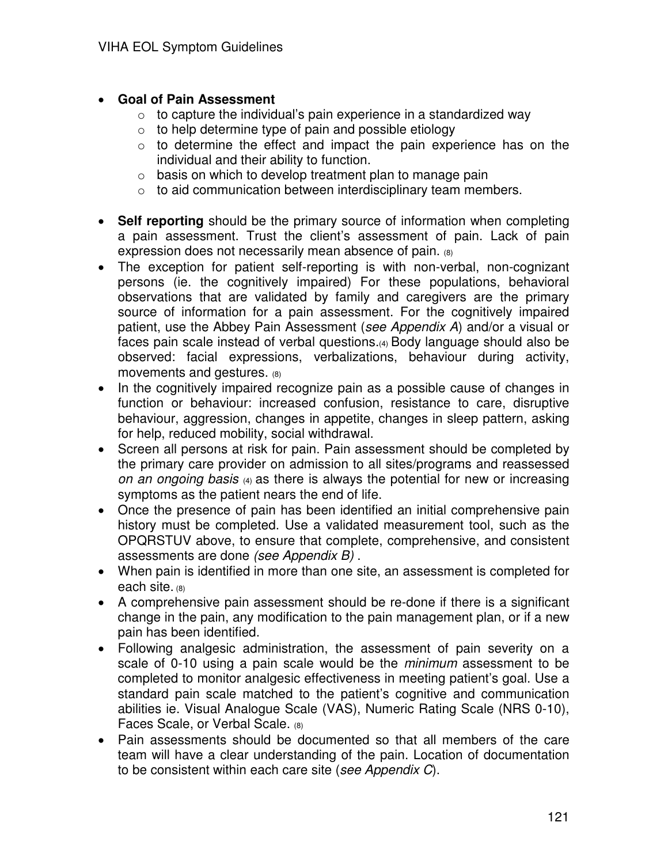- **Goal of Pain Assessment** 
	- $\circ$  to capture the individual's pain experience in a standardized way
	- $\circ$  to help determine type of pain and possible etiology
	- $\circ$  to determine the effect and impact the pain experience has on the individual and their ability to function.
	- $\circ$  basis on which to develop treatment plan to manage pain
	- $\circ$  to aid communication between interdisciplinary team members.
- **Self reporting** should be the primary source of information when completing a pain assessment. Trust the client's assessment of pain. Lack of pain expression does not necessarily mean absence of pain. (8)
- The exception for patient self-reporting is with non-verbal, non-cognizant persons (ie. the cognitively impaired) For these populations, behavioral observations that are validated by family and caregivers are the primary source of information for a pain assessment. For the cognitively impaired patient, use the Abbey Pain Assessment (see Appendix A) and/or a visual or faces pain scale instead of verbal questions.(4) Body language should also be observed: facial expressions, verbalizations, behaviour during activity, movements and gestures. (8)
- In the cognitively impaired recognize pain as a possible cause of changes in function or behaviour: increased confusion, resistance to care, disruptive behaviour, aggression, changes in appetite, changes in sleep pattern, asking for help, reduced mobility, social withdrawal.
- Screen all persons at risk for pain. Pain assessment should be completed by the primary care provider on admission to all sites/programs and reassessed on an ongoing basis (4) as there is always the potential for new or increasing symptoms as the patient nears the end of life.
- Once the presence of pain has been identified an initial comprehensive pain history must be completed. Use a validated measurement tool, such as the OPQRSTUV above, to ensure that complete, comprehensive, and consistent assessments are done (see Appendix B) .
- When pain is identified in more than one site, an assessment is completed for each site. (8)
- A comprehensive pain assessment should be re-done if there is a significant change in the pain, any modification to the pain management plan, or if a new pain has been identified.
- Following analgesic administration, the assessment of pain severity on a scale of 0-10 using a pain scale would be the *minimum* assessment to be completed to monitor analgesic effectiveness in meeting patient's goal. Use a standard pain scale matched to the patient's cognitive and communication abilities ie. Visual Analogue Scale (VAS), Numeric Rating Scale (NRS 0-10), Faces Scale, or Verbal Scale. (8)
- Pain assessments should be documented so that all members of the care team will have a clear understanding of the pain. Location of documentation to be consistent within each care site (see Appendix C).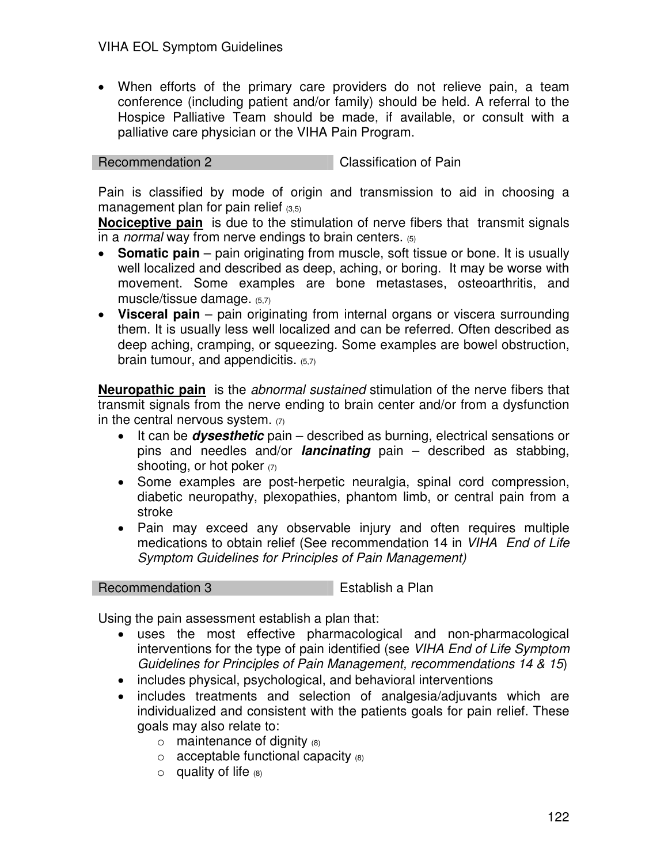• When efforts of the primary care providers do not relieve pain, a team conference (including patient and/or family) should be held. A referral to the Hospice Palliative Team should be made, if available, or consult with a palliative care physician or the VIHA Pain Program.

```
Recommendation 2 Classification of Pain
```
Pain is classified by mode of origin and transmission to aid in choosing a management plan for pain relief  $(3,5)$ 

**Nociceptive pain** is due to the stimulation of nerve fibers that transmit signals in a *normal* way from nerve endings to brain centers.  $(5)$ 

- **Somatic pain** pain originating from muscle, soft tissue or bone. It is usually well localized and described as deep, aching, or boring. It may be worse with movement. Some examples are bone metastases, osteoarthritis, and muscle/tissue damage. (5,7)
- **Visceral pain** pain originating from internal organs or viscera surrounding them. It is usually less well localized and can be referred. Often described as deep aching, cramping, or squeezing. Some examples are bowel obstruction, brain tumour, and appendicitis.  $(5,7)$

**Neuropathic pain** is the abnormal sustained stimulation of the nerve fibers that transmit signals from the nerve ending to brain center and/or from a dysfunction in the central nervous system.  $(7)$ 

- It can be **dysesthetic** pain described as burning, electrical sensations or pins and needles and/or **lancinating** pain – described as stabbing, shooting, or hot poker  $(7)$
- Some examples are post-herpetic neuralgia, spinal cord compression, diabetic neuropathy, plexopathies, phantom limb, or central pain from a stroke
- Pain may exceed any observable injury and often requires multiple medications to obtain relief (See recommendation 14 in VIHA End of Life Symptom Guidelines for Principles of Pain Management)

## Recommendation 3 Establish a Plan

Using the pain assessment establish a plan that:

- uses the most effective pharmacological and non-pharmacological interventions for the type of pain identified (see VIHA End of Life Symptom Guidelines for Principles of Pain Management, recommendations 14 & 15)
- includes physical, psychological, and behavioral interventions
- includes treatments and selection of analgesia/adjuvants which are individualized and consistent with the patients goals for pain relief. These goals may also relate to:
	- $\circ$  maintenance of dignity  $(8)$
	- $\circ$  acceptable functional capacity  $(8)$
	- $\circ$  quality of life  $(8)$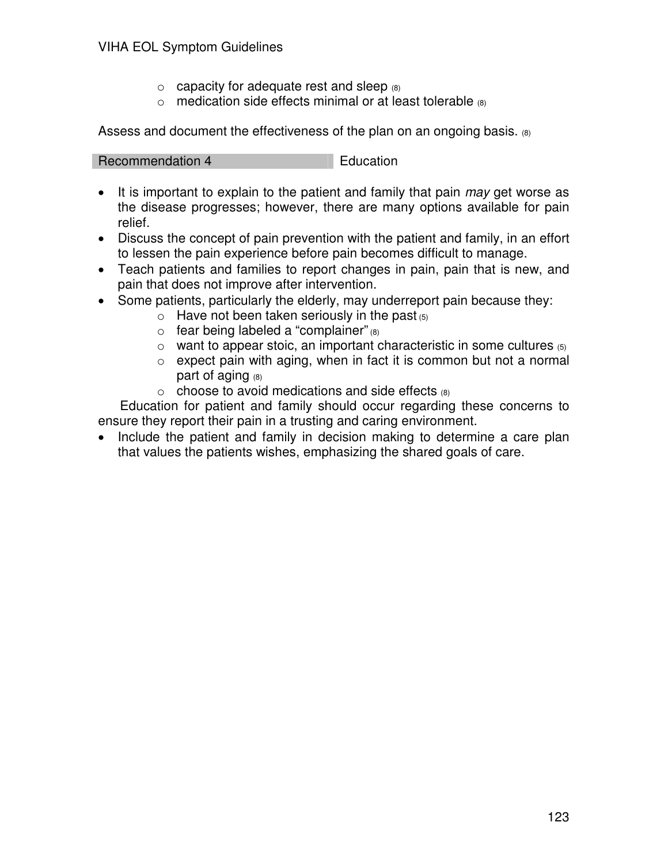- $\circ$  capacity for adequate rest and sleep  $(8)$
- $\circ$  medication side effects minimal or at least tolerable  $\circ$

Assess and document the effectiveness of the plan on an ongoing basis. (8)

Recommendation 4 Education

- It is important to explain to the patient and family that pain may get worse as the disease progresses; however, there are many options available for pain relief.
- Discuss the concept of pain prevention with the patient and family, in an effort to lessen the pain experience before pain becomes difficult to manage.
- Teach patients and families to report changes in pain, pain that is new, and pain that does not improve after intervention.
- Some patients, particularly the elderly, may underreport pain because they:
	- $\circ$  Have not been taken seriously in the past  $(5)$
	- $\circ$  fear being labeled a "complainer" (8)
	- $\circ$  want to appear stoic, an important characteristic in some cultures  $\circ$
	- $\circ$  expect pain with aging, when in fact it is common but not a normal part of aging  $(8)$
	- $\circ$  choose to avoid medications and side effects  $(8)$

 Education for patient and family should occur regarding these concerns to ensure they report their pain in a trusting and caring environment.

• Include the patient and family in decision making to determine a care plan that values the patients wishes, emphasizing the shared goals of care.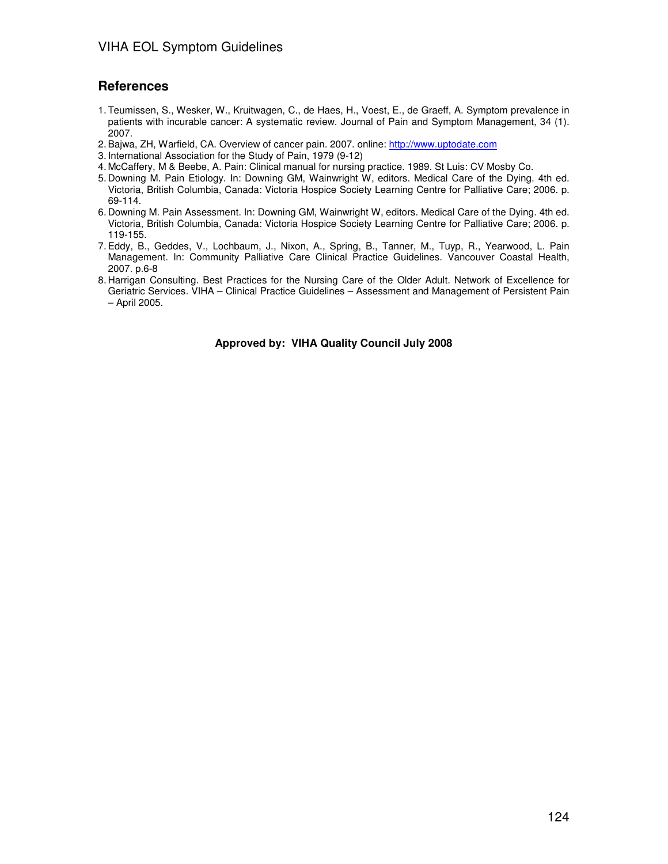#### **References**

- 1. Teumissen, S., Wesker, W., Kruitwagen, C., de Haes, H., Voest, E., de Graeff, A. Symptom prevalence in patients with incurable cancer: A systematic review. Journal of Pain and Symptom Management, 34 (1). 2007.
- 2. Bajwa, ZH, Warfield, CA. Overview of cancer pain. 2007. online: [http://www.uptodate.com](http://www.uptodate.com/)
- 3. International Association for the Study of Pain, 1979 (9-12)
- 4. McCaffery, M & Beebe, A. Pain: Clinical manual for nursing practice. 1989. St Luis: CV Mosby Co.
- 5. Downing M. Pain Etiology. In: Downing GM, Wainwright W, editors. Medical Care of the Dying. 4th ed. Victoria, British Columbia, Canada: Victoria Hospice Society Learning Centre for Palliative Care; 2006. p. 69-114.
- 6. Downing M. Pain Assessment. In: Downing GM, Wainwright W, editors. Medical Care of the Dying. 4th ed. Victoria, British Columbia, Canada: Victoria Hospice Society Learning Centre for Palliative Care; 2006. p. 119-155.
- 7. Eddy, B., Geddes, V., Lochbaum, J., Nixon, A., Spring, B., Tanner, M., Tuyp, R., Yearwood, L. Pain Management. In: Community Palliative Care Clinical Practice Guidelines. Vancouver Coastal Health, 2007. p.6-8
- 8. Harrigan Consulting. Best Practices for the Nursing Care of the Older Adult. Network of Excellence for Geriatric Services. VIHA – Clinical Practice Guidelines – Assessment and Management of Persistent Pain – April 2005.

**Approved by: VIHA Quality Council July 2008**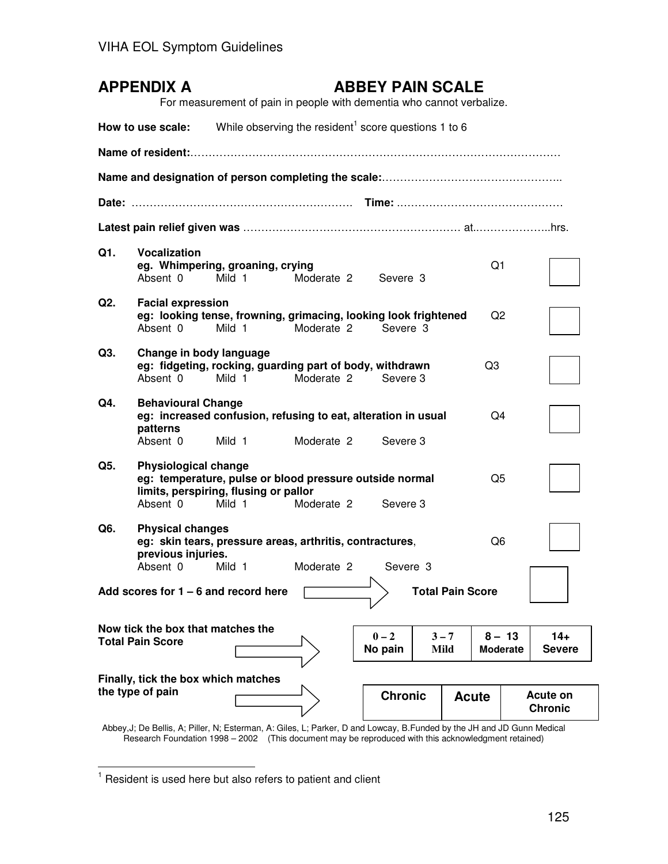|                                                                   | <b>APPENDIX A</b>                                            | For measurement of pain in people with dementia who cannot verbalize.                                      |                     | <b>ABBEY PAIN SCALE</b> |                 |       |                             |                                   |
|-------------------------------------------------------------------|--------------------------------------------------------------|------------------------------------------------------------------------------------------------------------|---------------------|-------------------------|-----------------|-------|-----------------------------|-----------------------------------|
|                                                                   | How to use scale:                                            | While observing the resident <sup>1</sup> score questions 1 to 6                                           |                     |                         |                 |       |                             |                                   |
|                                                                   |                                                              |                                                                                                            |                     |                         |                 |       |                             |                                   |
|                                                                   |                                                              |                                                                                                            |                     |                         |                 |       |                             |                                   |
|                                                                   |                                                              |                                                                                                            |                     |                         |                 |       |                             |                                   |
|                                                                   |                                                              |                                                                                                            |                     |                         |                 |       |                             |                                   |
| Q1.                                                               | <b>Vocalization</b><br>Absent 0                              | eg. Whimpering, groaning, crying<br>Mild 1                                                                 | Moderate 2 Severe 3 |                         |                 |       | Q1                          |                                   |
| Q2.                                                               | <b>Facial expression</b><br>Absent 0                         | eg: looking tense, frowning, grimacing, looking look frightened<br>Mild 1                                  | Moderate 2          | Severe 3                |                 |       | Q <sub>2</sub>              |                                   |
| Q3.                                                               | Change in body language<br>Absent 0                          | eg: fidgeting, rocking, guarding part of body, withdrawn<br>Mild 1                                         | Moderate 2          | Severe 3                |                 | Q3    |                             |                                   |
| Q4.                                                               | <b>Behavioural Change</b><br>patterns<br>Absent 0            | eg: increased confusion, refusing to eat, alteration in usual<br>Mild 1                                    | Moderate 2          | Severe 3                |                 |       | Q4                          |                                   |
| Q5.                                                               | <b>Physiological change</b><br>Absent 0                      | eg: temperature, pulse or blood pressure outside normal<br>limits, perspiring, flusing or pallor<br>Mild 1 | Moderate 2          | Severe 3                |                 |       | Q5                          |                                   |
| Q6.                                                               | <b>Physical changes</b><br>previous injuries.                | eg: skin tears, pressure areas, arthritis, contractures,<br>Absent 0 Mild 1                                | Moderate 2          | Severe 3                |                 |       | Q6                          |                                   |
| <b>Total Pain Score</b><br>Add scores for $1 - 6$ and record here |                                                              |                                                                                                            |                     |                         |                 |       |                             |                                   |
|                                                                   | Now tick the box that matches the<br><b>Total Pain Score</b> |                                                                                                            |                     | $0 - 2$<br>No pain      | $3 - 7$<br>Mild |       | $8 - 13$<br><b>Moderate</b> | $14+$<br><b>Severe</b>            |
|                                                                   | Finally, tick the box which matches<br>the type of pain      |                                                                                                            |                     | <b>Chronic</b>          |                 | Acute |                             | <b>Acute on</b><br><b>Chronic</b> |

Abbey,J; De Bellis, A; Piller, N; Esterman, A: Giles, L; Parker, D and Lowcay, B.Funded by the JH and JD Gunn Medical Research Foundation 1998 – 2002 (This document may be reproduced with this acknowledgment retained)

**TERET 1**<br><sup>1</sup> Resident is used here but also refers to patient and client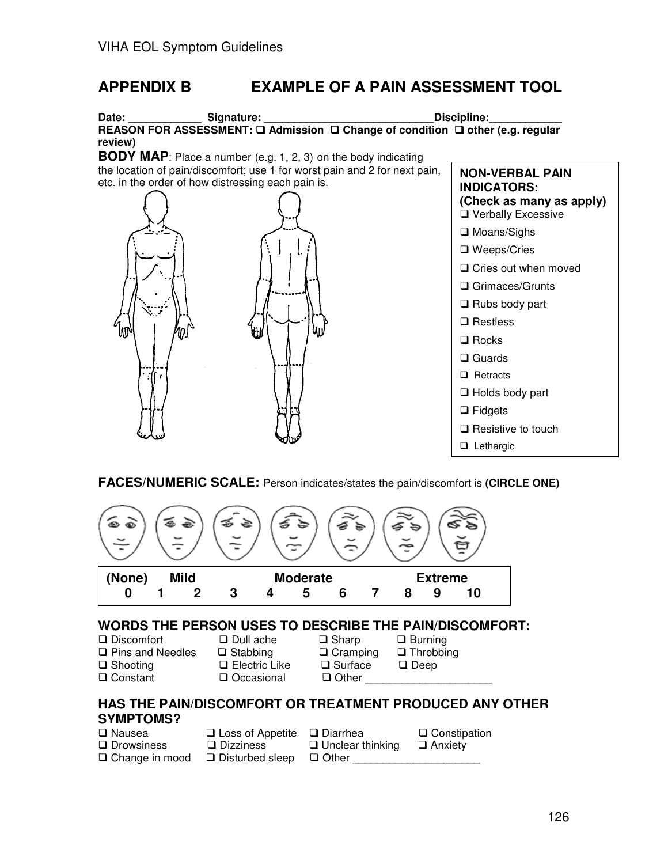# **APPENDIX B EXAMPLE OF A PAIN ASSESSMENT TOOL**

#### Date: \_\_\_\_\_\_\_\_\_\_\_\_\_\_\_Signature: \_\_\_\_\_\_\_\_\_\_\_\_\_\_\_\_\_\_\_\_\_\_\_\_\_\_\_\_\_\_\_\_\_Discipline: \_\_\_\_\_\_\_\_\_\_\_\_\_\_\_\_\_\_\_\_\_\_\_ **REASON FOR ASSESSMENT: □ Admission □ Change of condition □ other (e.g. regular review)**

**BODY MAP**: Place a number (e.g. 1, 2, 3) on the body indicating the location of pain/discomfort; use 1 for worst pain and 2 for next pain, etc. in the order of how distressing each pain is.



**NON-VERBAL PAIN INDICATORS: (Check as many as apply)** □ Verbally Excessive □ Moans/Sighs □ Weeps/Cries □ Cries out when moved □ Grimaces/Grunts  $\Box$  Rubs body part **□** Restless  $\Box$  Rocks □ Guards  $\Box$  Retracts □ Holds body part **□** Fidgets  $\square$  Resistive to touch **Lethargic** 

#### **FACES/NUMERIC SCALE:** Person indicates/states the pain/discomfort is **(CIRCLE ONE)**



#### **WORDS THE PERSON USES TO DESCRIBE THE PAIN/DISCOMFORT:**

| □ Discomfort<br>$\square$ Pins and Needles<br>$\Box$ Shooting                | $\Box$ Dull ache<br>$\Box$ Stabbing<br>$\Box$ Electric Like | $\Box$ Sharp<br>$\Box$ Cramping<br>$\square$ Surface | $\Box$ Burning<br>$\Box$ Throbbing<br>$\Box$ Deep |  |
|------------------------------------------------------------------------------|-------------------------------------------------------------|------------------------------------------------------|---------------------------------------------------|--|
| <b>□ Constant</b><br>HAS THE PAIN/DISCOMFORT OR TREATMENT PRODUCED ANY OTHER | Occasional                                                  | $\Box$ Other                                         |                                                   |  |
| <b>SYMPTOMS?</b>                                                             |                                                             |                                                      |                                                   |  |

# **SYMPTOMS?**

| □ Nausea          | $\Box$ Loss of Appetite $\Box$ Diarrhea |                         | □ Constipation |
|-------------------|-----------------------------------------|-------------------------|----------------|
| $\Box$ Drowsiness | $\square$ Dizziness                     | $\Box$ Unclear thinking | □ Anxiety      |
| □ Change in mood  | □ Disturbed sleep                       | □ Other                 |                |